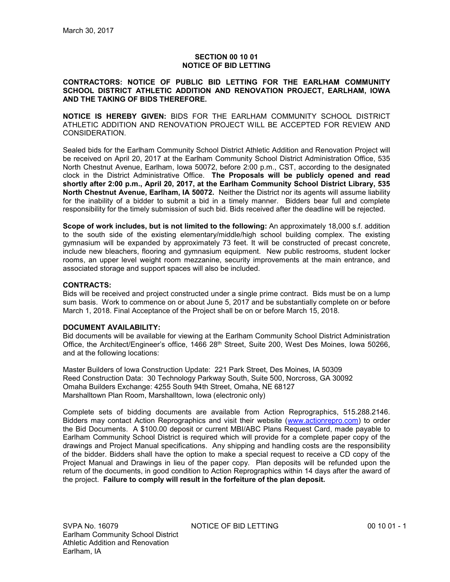# **SECTION 00 10 01 NOTICE OF BID LETTING**

### **CONTRACTORS: NOTICE OF PUBLIC BID LETTING FOR THE EARLHAM COMMUNITY SCHOOL DISTRICT ATHLETIC ADDITION AND RENOVATION PROJECT, EARLHAM, IOWA AND THE TAKING OF BIDS THEREFORE.**

**NOTICE IS HEREBY GIVEN:** BIDS FOR THE EARLHAM COMMUNITY SCHOOL DISTRICT ATHLETIC ADDITION AND RENOVATION PROJECT WILL BE ACCEPTED FOR REVIEW AND CONSIDERATION.

Sealed bids for the Earlham Community School District Athletic Addition and Renovation Project will be received on April 20, 2017 at the Earlham Community School District Administration Office, 535 North Chestnut Avenue, Earlham, Iowa 50072, before 2:00 p.m., CST, according to the designated clock in the District Administrative Office. **The Proposals will be publicly opened and read shortly after 2:00 p.m., April 20, 2017, at the Earlham Community School District Library, 535 North Chestnut Avenue, Earlham, IA 50072.** Neither the District nor its agents will assume liability for the inability of a bidder to submit a bid in a timely manner. Bidders bear full and complete responsibility for the timely submission of such bid. Bids received after the deadline will be rejected.

**Scope of work includes, but is not limited to the following:** An approximately 18,000 s.f. addition to the south side of the existing elementary/middle/high school building complex. The existing gymnasium will be expanded by approximately 73 feet. It will be constructed of precast concrete, include new bleachers, flooring and gymnasium equipment. New public restrooms, student locker rooms, an upper level weight room mezzanine, security improvements at the main entrance, and associated storage and support spaces will also be included.

# **CONTRACTS:**

Bids will be received and project constructed under a single prime contract. Bids must be on a lump sum basis. Work to commence on or about June 5, 2017 and be substantially complete on or before March 1, 2018. Final Acceptance of the Project shall be on or before March 15, 2018.

### **DOCUMENT AVAILABILITY:**

Bid documents will be available for viewing at the Earlham Community School District Administration Office, the Architect/Engineer's office, 1466 28<sup>th</sup> Street, Suite 200, West Des Moines, Iowa 50266, and at the following locations:

Master Builders of Iowa Construction Update: 221 Park Street, Des Moines, IA 50309 Reed Construction Data: 30 Technology Parkway South, Suite 500, Norcross, GA 30092 Omaha Builders Exchange: 4255 South 94th Street, Omaha, NE 68127 Marshalltown Plan Room, Marshalltown, Iowa (electronic only)

Complete sets of bidding documents are available from Action Reprographics, 515.288.2146. Bidders may contact Action Reprographics and visit their website (www.actionrepro.com) to order the Bid Documents. A \$100.00 deposit or current MBI/ABC Plans Request Card, made payable to Earlham Community School District is required which will provide for a complete paper copy of the drawings and Project Manual specifications. Any shipping and handling costs are the responsibility of the bidder. Bidders shall have the option to make a special request to receive a CD copy of the Project Manual and Drawings in lieu of the paper copy. Plan deposits will be refunded upon the return of the documents, in good condition to Action Reprographics within 14 days after the award of the project. **Failure to comply will result in the forfeiture of the plan deposit.**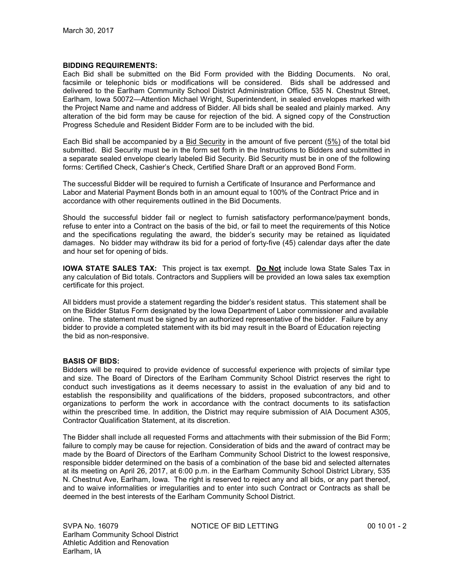### **BIDDING REQUIREMENTS:**

Each Bid shall be submitted on the Bid Form provided with the Bidding Documents. No oral, facsimile or telephonic bids or modifications will be considered. Bids shall be addressed and delivered to the Earlham Community School District Administration Office, 535 N. Chestnut Street, Earlham, Iowa 50072—Attention Michael Wright, Superintendent, in sealed envelopes marked with the Project Name and name and address of Bidder. All bids shall be sealed and plainly marked. Any alteration of the bid form may be cause for rejection of the bid. A signed copy of the Construction Progress Schedule and Resident Bidder Form are to be included with the bid.

Each Bid shall be accompanied by a Bid Security in the amount of five percent (5%) of the total bid submitted. Bid Security must be in the form set forth in the Instructions to Bidders and submitted in a separate sealed envelope clearly labeled Bid Security. Bid Security must be in one of the following forms: Certified Check, Cashier's Check, Certified Share Draft or an approved Bond Form.

The successful Bidder will be required to furnish a Certificate of Insurance and Performance and Labor and Material Payment Bonds both in an amount equal to 100% of the Contract Price and in accordance with other requirements outlined in the Bid Documents.

Should the successful bidder fail or neglect to furnish satisfactory performance/payment bonds, refuse to enter into a Contract on the basis of the bid, or fail to meet the requirements of this Notice and the specifications regulating the award, the bidder's security may be retained as liquidated damages. No bidder may withdraw its bid for a period of forty-five (45) calendar days after the date and hour set for opening of bids.

**IOWA STATE SALES TAX:** This project is tax exempt. **Do Not** include Iowa State Sales Tax in any calculation of Bid totals. Contractors and Suppliers will be provided an Iowa sales tax exemption certificate for this project.

All bidders must provide a statement regarding the bidder's resident status. This statement shall be on the Bidder Status Form designated by the Iowa Department of Labor commissioner and available online. The statement must be signed by an authorized representative of the bidder. Failure by any bidder to provide a completed statement with its bid may result in the Board of Education rejecting the bid as non-responsive.

### **BASIS OF BIDS:**

Bidders will be required to provide evidence of successful experience with projects of similar type and size. The Board of Directors of the Earlham Community School District reserves the right to conduct such investigations as it deems necessary to assist in the evaluation of any bid and to establish the responsibility and qualifications of the bidders, proposed subcontractors, and other organizations to perform the work in accordance with the contract documents to its satisfaction within the prescribed time. In addition, the District may require submission of AIA Document A305, Contractor Qualification Statement, at its discretion.

The Bidder shall include all requested Forms and attachments with their submission of the Bid Form; failure to comply may be cause for rejection. Consideration of bids and the award of contract may be made by the Board of Directors of the Earlham Community School District to the lowest responsive, responsible bidder determined on the basis of a combination of the base bid and selected alternates at its meeting on April 26, 2017, at 6:00 p.m. in the Earlham Community School District Library, 535 N. Chestnut Ave, Earlham, Iowa. The right is reserved to reject any and all bids, or any part thereof, and to waive informalities or irregularities and to enter into such Contract or Contracts as shall be deemed in the best interests of the Earlham Community School District.